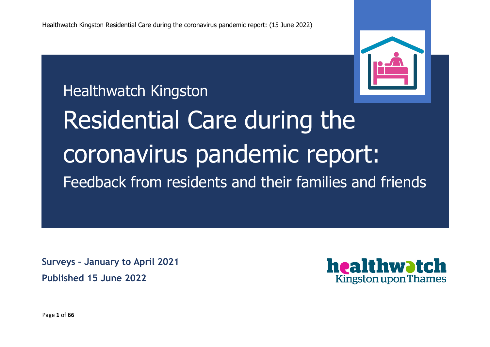

Healthwatch Kingston

Residential Care during the coronavirus pandemic report: Feedback from residents and their families and friends

**Surveys – January to April 2021 Published 15 June 2022**



Page **1** of **66**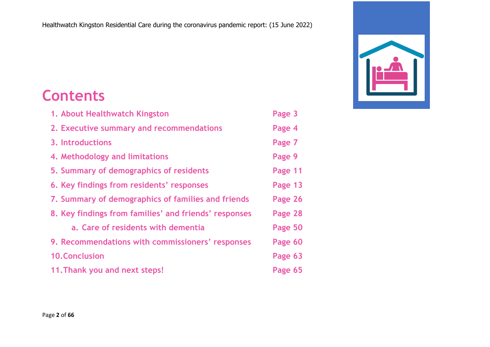# **Contents**

| 1. About Healthwatch Kingston                         | Page 3  |
|-------------------------------------------------------|---------|
| 2. Executive summary and recommendations              | Page 4  |
| 3. Introductions                                      | Page 7  |
| 4. Methodology and limitations                        | Page 9  |
| 5. Summary of demographics of residents               | Page 11 |
| 6. Key findings from residents' responses             | Page 13 |
| 7. Summary of demographics of families and friends    | Page 26 |
| 8. Key findings from families' and friends' responses | Page 28 |
| a. Care of residents with dementia                    | Page 50 |
| 9. Recommendations with commissioners' responses      | Page 60 |
| <b>10. Conclusion</b>                                 | Page 63 |
| 11. Thank you and next steps!                         | Page 65 |

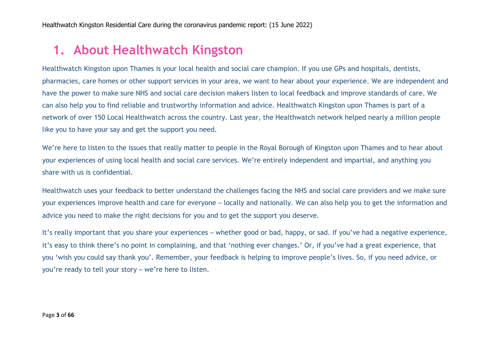### **1. About Healthwatch Kingston**

Healthwatch Kingston upon Thames is your local health and social care champion. If you use GPs and hospitals, dentists, pharmacies, care homes or other support services in your area, we want to hear about your experience. We are independent and have the power to make sure NHS and social care decision makers listen to local feedback and improve standards of care. We can also help you to find reliable and trustworthy information and advice. Healthwatch Kingston upon Thames is part of a network of over 150 Local Healthwatch across the country. Last year, the Healthwatch network helped nearly a million people like you to have your say and get the support you need.

We're here to listen to the issues that really matter to people in the Royal Borough of Kingston upon Thames and to hear about your experiences of using local health and social care services. We're entirely independent and impartial, and anything you share with us is confidential.

Healthwatch uses your feedback to better understand the challenges facing the NHS and social care providers and we make sure your experiences improve health and care for everyone – locally and nationally. We can also help you to get the information and advice you need to make the right decisions for you and to get the support you deserve.

It's really important that you share your experiences – whether good or bad, happy, or sad. If you've had a negative experience, it's easy to think there's no point in complaining, and that 'nothing ever changes.' Or, if you've had a great experience, that you 'wish you could say thank you'. Remember, your feedback is helping to improve people's lives. So, if you need advice, or you're ready to tell your story – we're here to listen.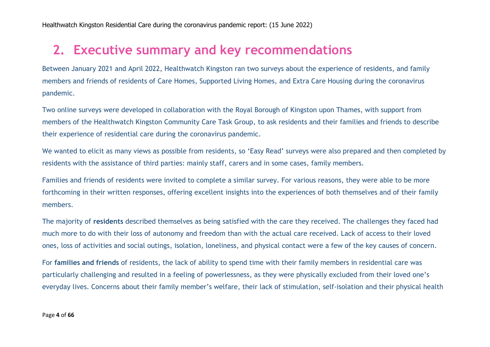### **2. Executive summary and key recommendations**

Between January 2021 and April 2022, Healthwatch Kingston ran two surveys about the experience of residents, and family members and friends of residents of Care Homes, Supported Living Homes, and Extra Care Housing during the coronavirus pandemic.

Two online surveys were developed in collaboration with the Royal Borough of Kingston upon Thames, with support from members of the Healthwatch Kingston Community Care Task Group, to ask residents and their families and friends to describe their experience of residential care during the coronavirus pandemic.

We wanted to elicit as many views as possible from residents, so 'Easy Read' surveys were also prepared and then completed by residents with the assistance of third parties: mainly staff, carers and in some cases, family members.

Families and friends of residents were invited to complete a similar survey. For various reasons, they were able to be more forthcoming in their written responses, offering excellent insights into the experiences of both themselves and of their family members.

The majority of **residents** described themselves as being satisfied with the care they received. The challenges they faced had much more to do with their loss of autonomy and freedom than with the actual care received. Lack of access to their loved ones, loss of activities and social outings, isolation, loneliness, and physical contact were a few of the key causes of concern.

For **families and friends** of residents, the lack of ability to spend time with their family members in residential care was particularly challenging and resulted in a feeling of powerlessness, as they were physically excluded from their loved one's everyday lives. Concerns about their family member's welfare, their lack of stimulation, self-isolation and their physical health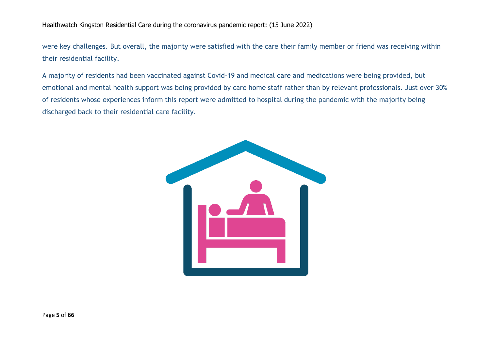were key challenges. But overall, the majority were satisfied with the care their family member or friend was receiving within their residential facility.

A majority of residents had been vaccinated against Covid-19 and medical care and medications were being provided, but emotional and mental health support was being provided by care home staff rather than by relevant professionals. Just over 30% of residents whose experiences inform this report were admitted to hospital during the pandemic with the majority being discharged back to their residential care facility.

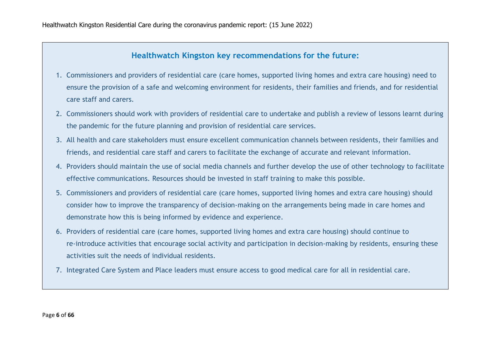#### **Healthwatch Kingston key recommendations for the future:**

- 1. Commissioners and providers of residential care (care homes, supported living homes and extra care housing) need to ensure the provision of a safe and welcoming environment for residents, their families and friends, and for residential care staff and carers.
- 2. Commissioners should work with providers of residential care to undertake and publish a review of lessons learnt during the pandemic for the future planning and provision of residential care services.
- 3. All health and care stakeholders must ensure excellent communication channels between residents, their families and friends, and residential care staff and carers to facilitate the exchange of accurate and relevant information.
- 4. Providers should maintain the use of social media channels and further develop the use of other technology to facilitate effective communications. Resources should be invested in staff training to make this possible.
- 5. Commissioners and providers of residential care (care homes, supported living homes and extra care housing) should consider how to improve the transparency of decision-making on the arrangements being made in care homes and demonstrate how this is being informed by evidence and experience.
- 6. Providers of residential care (care homes, supported living homes and extra care housing) should continue to re-introduce activities that encourage social activity and participation in decision-making by residents, ensuring these activities suit the needs of individual residents.
- 7. Integrated Care System and Place leaders must ensure access to good medical care for all in residential care.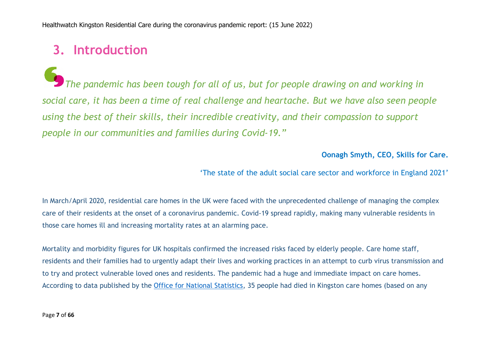### **3. Introduction**

*The pandemic has been tough for all of us, but for people drawing on and working in social care, it has been a time of real challenge and heartache. But we have also seen people using the best of their skills, their incredible creativity, and their compassion to support people in our communities and families during Covid-19."*

**Oonagh Smyth, CEO, Skills for Care.**

'The state of the adult social care sector and workforce in England 2021'

In March/April 2020, residential care homes in the UK were faced with the unprecedented challenge of managing the complex care of their residents at the onset of a coronavirus pandemic. Covid-19 spread rapidly, making many vulnerable residents in those care homes ill and increasing mortality rates at an alarming pace.

Mortality and morbidity figures for UK hospitals confirmed the increased risks faced by elderly people. Care home staff, residents and their families had to urgently adapt their lives and working practices in an attempt to curb virus transmission and to try and protect vulnerable loved ones and residents. The pandemic had a huge and immediate impact on care homes. According to data published by the Office for National Statistics, 35 people had died in Kingston care homes (based on any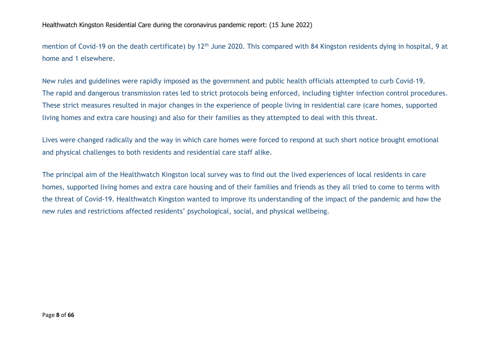mention of Covid-19 on the death certificate) by 12<sup>th</sup> June 2020. This compared with 84 Kingston residents dying in hospital, 9 at home and 1 elsewhere.

New rules and guidelines were rapidly imposed as the government and public health officials attempted to curb Covid-19. The rapid and dangerous transmission rates led to strict protocols being enforced, including tighter infection control procedures. These strict measures resulted in major changes in the experience of people living in residential care (care homes, supported living homes and extra care housing) and also for their families as they attempted to deal with this threat.

Lives were changed radically and the way in which care homes were forced to respond at such short notice brought emotional and physical challenges to both residents and residential care staff alike.

The principal aim of the Healthwatch Kingston local survey was to find out the lived experiences of local residents in care homes, supported living homes and extra care housing and of their families and friends as they all tried to come to terms with the threat of Covid-19. Healthwatch Kingston wanted to improve its understanding of the impact of the pandemic and how the new rules and restrictions affected residents' psychological, social, and physical wellbeing.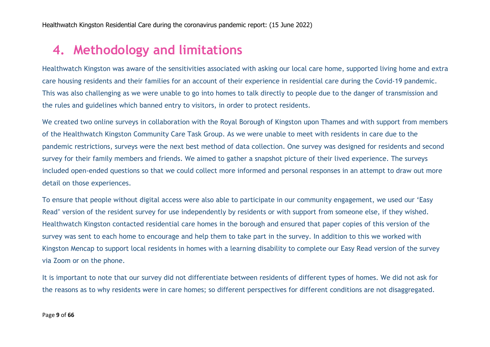### **4. Methodology and limitations**

Healthwatch Kingston was aware of the sensitivities associated with asking our local care home, supported living home and extra care housing residents and their families for an account of their experience in residential care during the Covid-19 pandemic. This was also challenging as we were unable to go into homes to talk directly to people due to the danger of transmission and the rules and guidelines which banned entry to visitors, in order to protect residents.

We created two online surveys in collaboration with the Royal Borough of Kingston upon Thames and with support from members of the Healthwatch Kingston Community Care Task Group. As we were unable to meet with residents in care due to the pandemic restrictions, surveys were the next best method of data collection. One survey was designed for residents and second survey for their family members and friends. We aimed to gather a snapshot picture of their lived experience. The surveys included open-ended questions so that we could collect more informed and personal responses in an attempt to draw out more detail on those experiences.

To ensure that people without digital access were also able to participate in our community engagement, we used our 'Easy Read' version of the resident survey for use independently by residents or with support from someone else, if they wished. Healthwatch Kingston contacted residential care homes in the borough and ensured that paper copies of this version of the survey was sent to each home to encourage and help them to take part in the survey. In addition to this we worked with Kingston Mencap to support local residents in homes with a learning disability to complete our Easy Read version of the survey via Zoom or on the phone.

It is important to note that our survey did not differentiate between residents of different types of homes. We did not ask for the reasons as to why residents were in care homes; so different perspectives for different conditions are not disaggregated.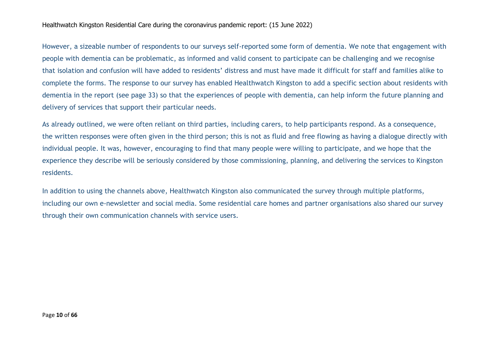However, a sizeable number of respondents to our surveys self-reported some form of dementia. We note that engagement with people with dementia can be problematic, as informed and valid consent to participate can be challenging and we recognise that isolation and confusion will have added to residents' distress and must have made it difficult for staff and families alike to complete the forms. The response to our survey has enabled Healthwatch Kingston to add a specific section about residents with dementia in the report (see page 33) so that the experiences of people with dementia, can help inform the future planning and delivery of services that support their particular needs.

As already outlined, we were often reliant on third parties, including carers, to help participants respond. As a consequence, the written responses were often given in the third person; this is not as fluid and free flowing as having a dialogue directly with individual people. It was, however, encouraging to find that many people were willing to participate, and we hope that the experience they describe will be seriously considered by those commissioning, planning, and delivering the services to Kingston residents.

In addition to using the channels above, Healthwatch Kingston also communicated the survey through multiple platforms, including our own e-newsletter and social media. Some residential care homes and partner organisations also shared our survey through their own communication channels with service users.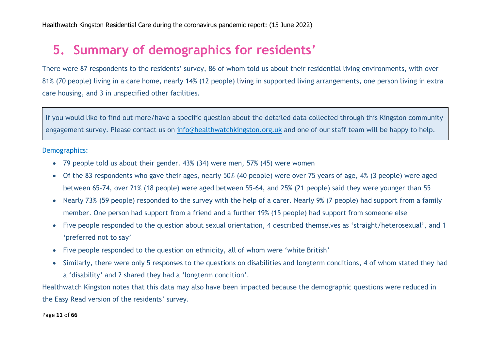### **5. Summary of demographics for residents'**

There were 87 respondents to the residents' survey, 86 of whom told us about their residential living environments, with over 81% (70 people) living in a care home, nearly 14% (12 people) living in supported living arrangements, one person living in extra care housing, and 3 in unspecified other facilities.

If you would like to find out more/have a specific question about the detailed data collected through this Kingston community engagement survey. Please contact us on info@healthwatchkingston.org.uk and one of our staff team will be happy to help.

#### Demographics:

- 79 people told us about their gender. 43% (34) were men, 57% (45) were women
- Of the 83 respondents who gave their ages, nearly 50% (40 people) were over 75 years of age, 4% (3 people) were aged between 65-74, over 21% (18 people) were aged between 55-64, and 25% (21 people) said they were younger than 55
- Nearly 73% (59 people) responded to the survey with the help of a carer. Nearly 9% (7 people) had support from a family member. One person had support from a friend and a further 19% (15 people) had support from someone else
- Five people responded to the question about sexual orientation, 4 described themselves as 'straight/heterosexual', and 1 'preferred not to say'
- Five people responded to the question on ethnicity, all of whom were 'white British'
- Similarly, there were only 5 responses to the questions on disabilities and longterm conditions, 4 of whom stated they had a 'disability' and 2 shared they had a 'longterm condition'.

Healthwatch Kingston notes that this data may also have been impacted because the demographic questions were reduced in the Easy Read version of the residents' survey.

#### Page **11** of **66**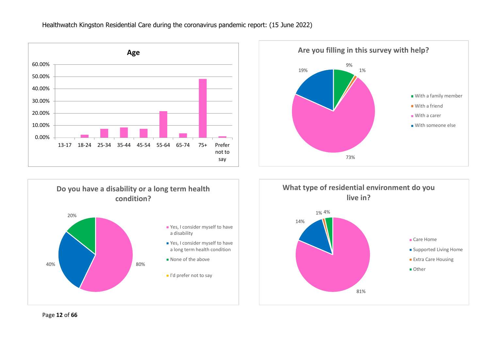





**live in?** Care Home **Supported Living Home Extra Care Housing Other** 

81%

Page **12** of **66**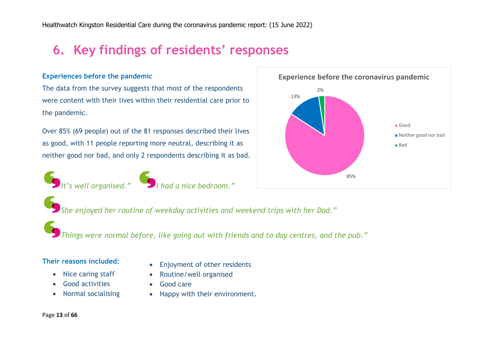# **6. Key findings of residents' responses**

#### **Experiences before the pandemic**

The data from the survey suggests that most of the respondents were content with their lives within their residential care prior to the pandemic.

Over 85% (69 people) out of the 81 responses described their lives as good, with 11 people reporting more neutral, describing it as neither good nor bad, and only 2 respondents describing it as bad.







*She enjoyed her routine of weekday activities and weekend trips with her Dad."*

*Things were normal before, like going out with friends and to day centres, and the pub."*

#### **Their reasons included:**

- Nice caring staff
- Good activities
- Normal socialising
- Enjoyment of other residents
- Routine/well organised
- Good care
- Happy with their environment.

#### Page **13** of **66**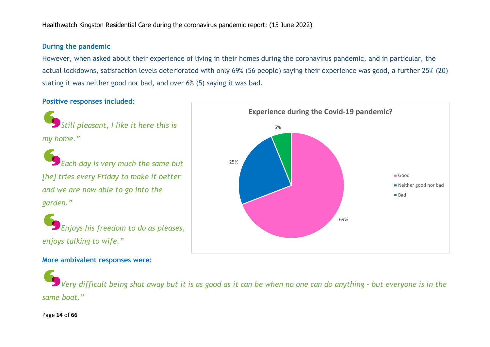#### **During the pandemic**

However, when asked about their experience of living in their homes during the coronavirus pandemic, and in particular, the actual lockdowns, satisfaction levels deteriorated with only 69% (56 people) saying their experience was good, a further 25% (20) stating it was neither good nor bad, and over 6% (5) saying it was bad.

#### **Positive responses included:**

*Still pleasant, I like it here this is my home."*

*Each day is very much the same but [he] tries every Friday to make it better and we are now able to go into the garden."*

*Enjoys his freedom to do as pleases, enjoys talking to wife."*

# 69% 25% 6% **Experience during the Covid-19 pandemic?** Good ■ Neither good nor bad ■ Bad

**More ambivalent responses were:**

Very difficult being shut away but it is as good as it can be when no one can do anything - but everyone is in the *same boat."*

Page **14** of **66**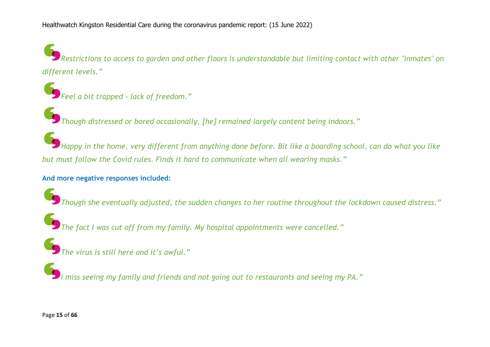Restrictions to access to garden and other floors is understandable but limiting contact with other "inmates" on *different levels."*

*Feel a bit trapped - lack of freedom."*

*Though distressed or bored occasionally, [he] remained largely content being indoors."*

Happy in the home, very different from anything done before. Bit like a boarding school, can do what you like *but must follow the Covid rules. Finds it hard to communicate when all wearing masks."*

#### **And more negative responses included:**

*Though she eventually adjusted, the sudden changes to her routine throughout the lockdown caused distress."*

*The fact I was cut off from my family. My hospital appointments were cancelled."*

*The virus is still here and it's awful."*

*I miss seeing my family and friends and not going out to restaurants and seeing my PA."*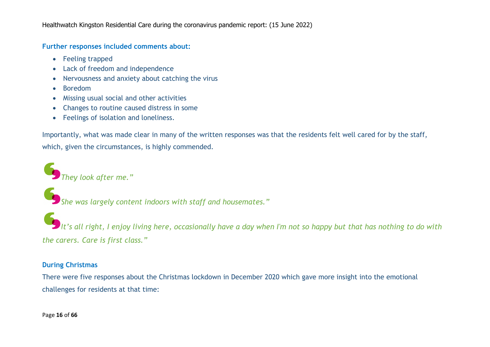#### **Further responses included comments about:**

- Feeling trapped
- Lack of freedom and independence
- Nervousness and anxiety about catching the virus
- Boredom
- Missing usual social and other activities
- Changes to routine caused distress in some
- Feelings of isolation and loneliness.

Importantly, what was made clear in many of the written responses was that the residents felt well cared for by the staff, which, given the circumstances, is highly commended.

*They look after me."*

*She was largely content indoors with staff and housemates."*

It's all right, I enjoy living here, occasionally have a day when I'm not so happy but that has nothing to do with *the carers. Care is first class."*

#### **During Christmas**

There were five responses about the Christmas lockdown in December 2020 which gave more insight into the emotional challenges for residents at that time: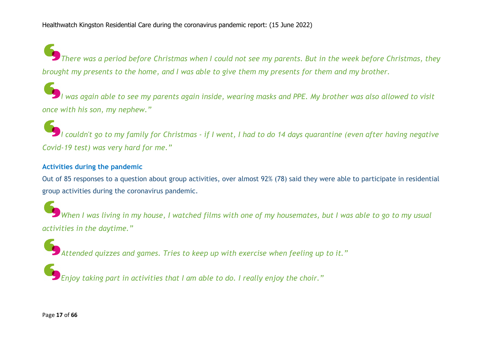There was a period before Christmas when I could not see my parents. But in the week before Christmas, they brought my presents to the home, and I was able to give them my presents for them and my brother.

l was again able to see my parents again inside, wearing masks and PPE. My brother was also allowed to visit *once with his son, my nephew."*

I couldn't go to my family for Christmas - if I went, I had to do 14 days quarantine (even after having negative *Covid-19 test) was very hard for me."*

#### **Activities during the pandemic**

Out of 85 responses to a question about group activities, over almost 92% (78) said they were able to participate in residential group activities during the coronavirus pandemic.

When I was living in my house, I watched films with one of my housemates, but I was able to go to my usual *activities in the daytime."*

*Attended quizzes and games. Tries to keep up with exercise when feeling up to it."*

*Enjoy taking part in activities that I am able to do. I really enjoy the choir."*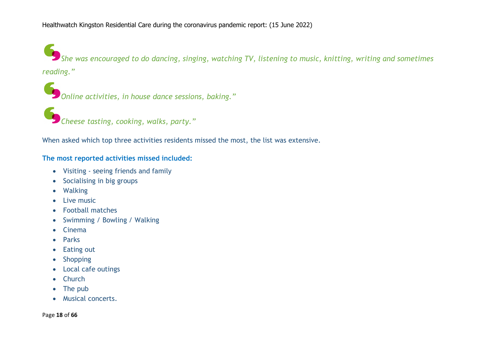*She was encouraged to do dancing, singing, watching TV, listening to music, knitting, writing and sometimes reading."*

*Online activities, in house dance sessions, baking."*

*Cheese tasting, cooking, walks, party."*

When asked which top three activities residents missed the most, the list was extensive.

#### **The most reported activities missed included:**

- Visiting seeing friends and family
- Socialising in big groups
- Walking
- Live music
- Football matches
- Swimming / Bowling / Walking
- Cinema
- Parks
- Eating out
- Shopping
- Local cafe outings
- Church
- The pub
- Musical concerts.

Page **18** of **66**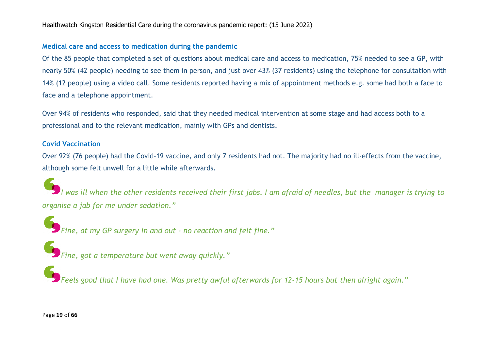#### **Medical care and access to medication during the pandemic**

Of the 85 people that completed a set of questions about medical care and access to medication, 75% needed to see a GP, with nearly 50% (42 people) needing to see them in person, and just over 43% (37 residents) using the telephone for consultation with 14% (12 people) using a video call. Some residents reported having a mix of appointment methods e.g. some had both a face to face and a telephone appointment.

Over 94% of residents who responded, said that they needed medical intervention at some stage and had access both to a professional and to the relevant medication, mainly with GPs and dentists.

#### **Covid Vaccination**

Over 92% (76 people) had the Covid-19 vaccine, and only 7 residents had not. The majority had no ill-effects from the vaccine, although some felt unwell for a little while afterwards.

I was ill when the other residents received their first jabs. I am afraid of needles, but the manager is trying to *organise a jab for me under sedation."*

*Fine, at my GP surgery in and out - no reaction and felt fine."*

*Fine, got a temperature but went away quickly."*

Beels good that I have had one. Was pretty awful afterwards for 12-15 hours but then alright again."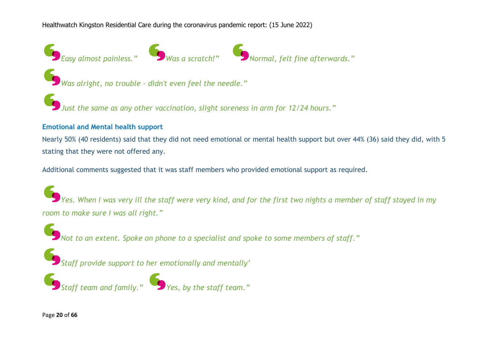

*Was alright, no trouble - didn't even feel the needle."*

*Just the same as any other vaccination, slight soreness in arm for 12/24 hours."*

#### **Emotional and Mental health support**

Nearly 50% (40 residents) said that they did not need emotional or mental health support but over 44% (36) said they did, with 5 stating that they were not offered any.

Additional comments suggested that it was staff members who provided emotional support as required.

 $\blacktriangleright$  Yes. When I was very ill the staff were very kind, and for the first two nights a member of staff stayed in my *room to make sure I was all right."*

*Not to an extent. Spoke on phone to a specialist and spoke to some members of staff."*

*Staff provide support to her emotionally and mentally'*

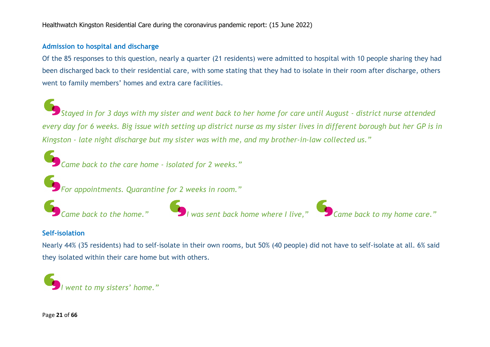#### **Admission to hospital and discharge**

Of the 85 responses to this question, nearly a quarter (21 residents) were admitted to hospital with 10 people sharing they had been discharged back to their residential care, with some stating that they had to isolate in their room after discharge, others went to family members' homes and extra care facilities.

Stayed in for 3 days with my sister and went back to her home for care until August - district nurse attended every day for 6 weeks. Big issue with setting up district nurse as my sister lives in different borough but her GP is in *Kingston - late night discharge but my sister was with me, and my brother-in-law collected us."*

*Came back to the care home - isolated for 2 weeks."*

*For appointments. Quarantine for 2 weeks in room."*



#### **Self-isolation**

Nearly 44% (35 residents) had to self-isolate in their own rooms, but 50% (40 people) did not have to self-isolate at all. 6% said they isolated within their care home but with others.

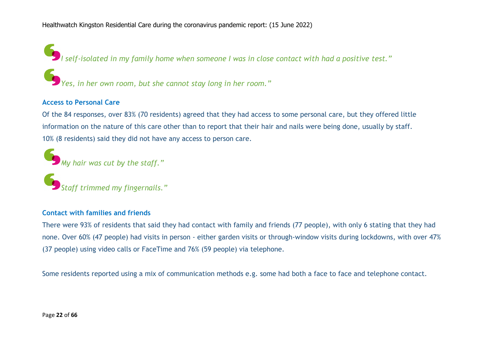*I self-isolated in my family home when someone I was in close contact with had a positive test."*

*Yes, in her own room, but she cannot stay long in her room."*

#### **Access to Personal Care**

Of the 84 responses, over 83% (70 residents) agreed that they had access to some personal care, but they offered little information on the nature of this care other than to report that their hair and nails were being done, usually by staff. 10% (8 residents) said they did not have any access to person care.

*My hair was cut by the staff."*

*Staff trimmed my fingernails."*

#### **Contact with families and friends**

There were 93% of residents that said they had contact with family and friends (77 people), with only 6 stating that they had none. Over 60% (47 people) had visits in person - either garden visits or through-window visits during lockdowns, with over 47% (37 people) using video calls or FaceTime and 76% (59 people) via telephone.

Some residents reported using a mix of communication methods e.g. some had both a face to face and telephone contact.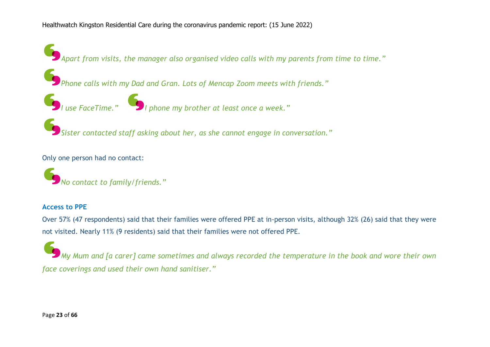*Apart from visits, the manager also organised video calls with my parents from time to time."*

*Phone calls with my Dad and Gran. Lots of Mencap Zoom meets with friends."*



*Sister contacted staff asking about her, as she cannot engage in conversation."*

Only one person had no contact:

*No contact to family/friends."*

#### **Access to PPE**

Over 57% (47 respondents) said that their families were offered PPE at in-person visits, although 32% (26) said that they were not visited. Nearly 11% (9 residents) said that their families were not offered PPE.

My Mum and [a carer] came sometimes and always recorded the temperature in the book and wore their own *face coverings and used their own hand sanitiser."*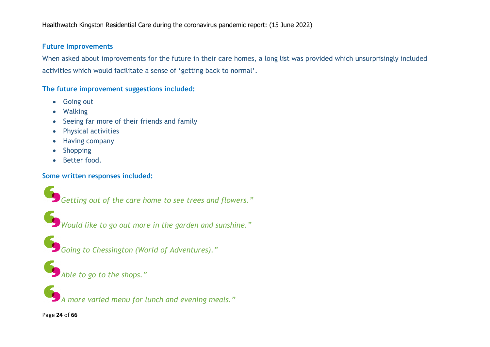#### **Future Improvements**

When asked about improvements for the future in their care homes, a long list was provided which unsurprisingly included activities which would facilitate a sense of 'getting back to normal'.

#### **The future improvement suggestions included:**

- Going out
- Walking
- Seeing far more of their friends and family
- Physical activities
- Having company
- Shopping
- Better food.

#### **Some written responses included:**

*Getting out of the care home to see trees and flowers."*

*Would like to go out more in the garden and sunshine."*

*Going to Chessington (World of Adventures)."*

*Able to go to the shops."*

*A more varied menu for lunch and evening meals."*

Page **24** of **66**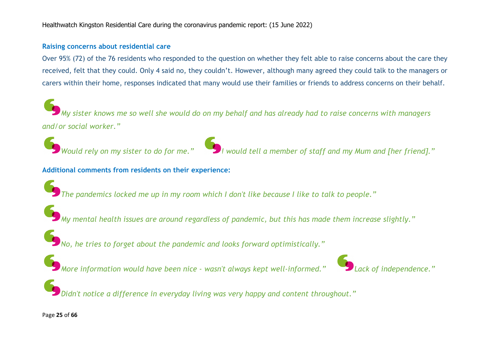#### **Raising concerns about residential care**

Over 95% (72) of the 76 residents who responded to the question on whether they felt able to raise concerns about the care they received, felt that they could. Only 4 said no, they couldn't. However, although many agreed they could talk to the managers or carers within their home, responses indicated that many would use their families or friends to address concerns on their behalf.

 $\big)$  My sister knows me so well she would do on my behalf and has already had to raise concerns with managers *and/or social worker."*





**Additional comments from residents on their experience:**

*The pandemics locked me up in my room which I don't like because I like to talk to people."*

*My mental health issues are around regardless of pandemic, but this has made them increase slightly."*

*No, he tries to forget about the pandemic and looks forward optimistically."*

*More information would have been nice - wasn't always kept well-informed." Lack of independence."*



*Didn't notice a difference in everyday living was very happy and content throughout."*

#### Page **25** of **66**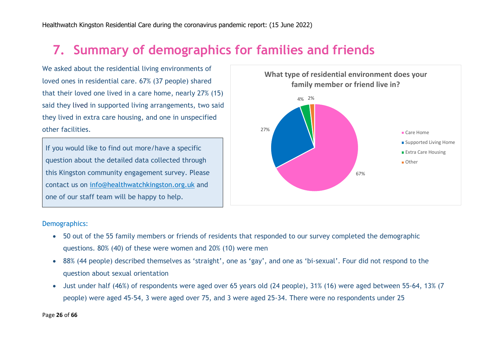# **7. Summary of demographics for families and friends**

We asked about the residential living environments of loved ones in residential care. 67% (37 people) shared that their loved one lived in a care home, nearly 27% (15) said they lived in supported living arrangements, two said they lived in extra care housing, and one in unspecified other facilities.

If you would like to find out more/have a specific question about the detailed data collected through this Kingston community engagement survey. Please contact us on info@healthwatchkingston.org.uk and one of our staff team will be happy to help.



#### Demographics:

- 50 out of the 55 family members or friends of residents that responded to our survey completed the demographic questions. 80% (40) of these were women and 20% (10) were men
- 88% (44 people) described themselves as 'straight', one as 'gay', and one as 'bi-sexual'. Four did not respond to the question about sexual orientation
- Just under half (46%) of respondents were aged over 65 years old (24 people), 31% (16) were aged between 55-64, 13% (7 people) were aged 45-54, 3 were aged over 75, and 3 were aged 25-34. There were no respondents under 25

Page **26** of **66**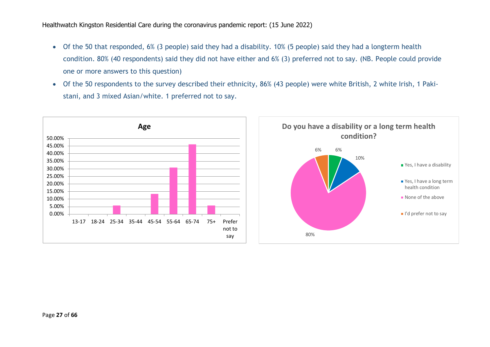- Of the 50 that responded, 6% (3 people) said they had a disability. 10% (5 people) said they had a longterm health condition. 80% (40 respondents) said they did not have either and 6% (3) preferred not to say. (NB. People could provide one or more answers to this question)
- Of the 50 respondents to the survey described their ethnicity, 86% (43 people) were white British, 2 white Irish, 1 Pakistani, and 3 mixed Asian/white. 1 preferred not to say.



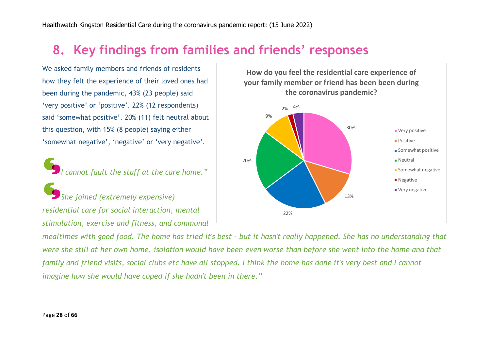### **8. Key findings from families and friends' responses**

We asked family members and friends of residents how they felt the experience of their loved ones had been during the pandemic, 43% (23 people) said 'very positive' or 'positive'. 22% (12 respondents) said 'somewhat positive'. 20% (11) felt neutral about this question, with 15% (8 people) saying either 'somewhat negative', 'negative' or 'very negative'.

*I cannot fault the staff at the care home."*

*She joined (extremely expensive) residential care for social interaction, mental stimulation, exercise and fitness, and communal*



mealtimes with good food. The home has tried it's best - but it hasn't really happened. She has no understanding that were she still at her own home, isolation would have been even worse than before she went into the home and that family and friend visits, social clubs etc have all stopped. I think the home has done it's very best and I cannot *imagine how she would have coped if she hadn't been in there."*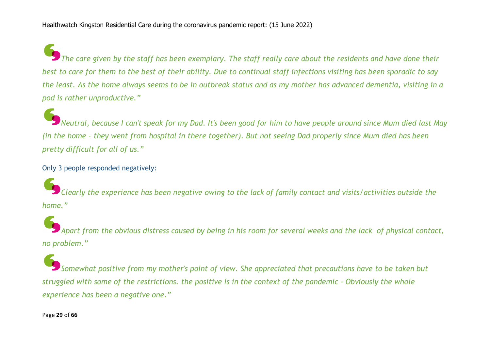The care given by the staff has been exemplary. The staff really care about the residents and have done their best to care for them to the best of their ability. Due to continual staff infections visiting has been sporadic to say the least. As the home always seems to be in outbreak status and as my mother has advanced dementia, visiting in a *pod is rather unproductive."*

.<br>Neutral, because I can't speak for my Dad. It's been good for him to have people around since Mum died last May (in the home - they went from hospital in there together). But not seeing Dad properly since Mum died has been *pretty difficult for all of us."*

Only 3 people responded negatively:

Clearly the experience has been negative owing to the lack of family contact and visits/activities outside the *home."*

Apart from the obvious distress caused by being in his room for several weeks and the lack of physical contact, *no problem."*

*Somewhat positive from my mother's point of view. She appreciated that precautions have to be taken but* struggled with some of the restrictions. the positive is in the context of the pandemic - Obviously the whole *experience has been a negative one."*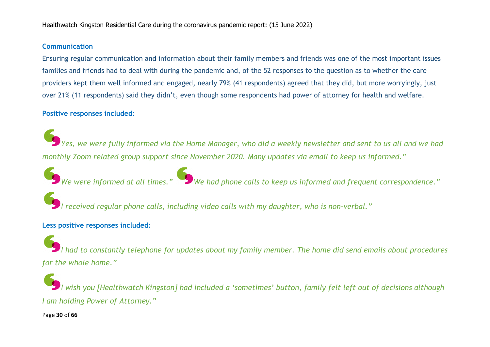#### **Communication**

Ensuring regular communication and information about their family members and friends was one of the most important issues families and friends had to deal with during the pandemic and, of the 52 responses to the question as to whether the care providers kept them well informed and engaged, nearly 79% (41 respondents) agreed that they did, but more worryingly, just over 21% (11 respondents) said they didn't, even though some respondents had power of attorney for health and welfare.

#### **Positive responses included:**

Yes, we were fully informed via the Home Manager, who did a weekly newsletter and sent to us all and we had *monthly Zoom related group support since November 2020. Many updates via email to keep us informed."*

*We were informed at all times." We had phone calls to keep us informed and frequent correspondence."*

*I received regular phone calls, including video calls with my daughter, who is non-verbal."*

#### **Less positive responses included:**

I had to constantly telephone for updates about my family member. The home did send emails about procedures *for the whole home."*

l wish you [Healthwatch Kingston] had included a 'sometimes' button, family felt left out of decisions although *I am holding Power of Attorney."*

Page **30** of **66**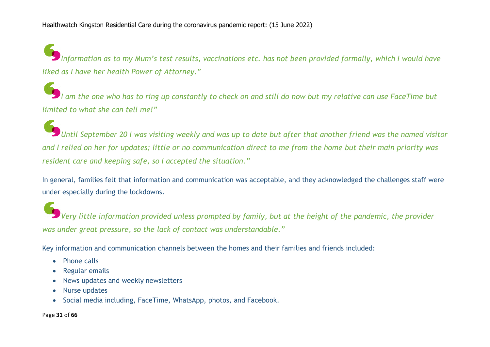Information as to my Mum's test results, vaccinations etc. has not been provided formally, which I would have *liked as I have her health Power of Attorney."*

I am the one who has to ring up constantly to check on and still do now but my relative can use FaceTime but *limited to what she can tell me!"*

Until September 20 I was visiting weekly and was up to date but after that another friend was the named visitor and I relied on her for updates; little or no communication direct to me from the home but their main priority was *resident care and keeping safe, so I accepted the situation."*

In general, families felt that information and communication was acceptable, and they acknowledged the challenges staff were under especially during the lockdowns.

Very little information provided unless prompted by family, but at the height of the pandemic, the provider *was under great pressure, so the lack of contact was understandable."*

Key information and communication channels between the homes and their families and friends included:

- Phone calls
- Regular emails
- News updates and weekly newsletters
- Nurse updates
- Social media including, FaceTime, WhatsApp, photos, and Facebook.

Page **31** of **66**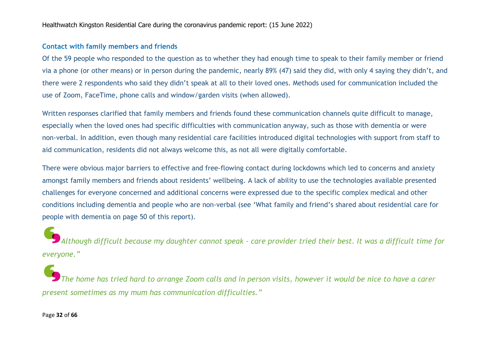#### **Contact with family members and friends**

Of the 59 people who responded to the question as to whether they had enough time to speak to their family member or friend via a phone (or other means) or in person during the pandemic, nearly 89% (47) said they did, with only 4 saying they didn't, and there were 2 respondents who said they didn't speak at all to their loved ones. Methods used for communication included the use of Zoom, FaceTime, phone calls and window/garden visits (when allowed).

Written responses clarified that family members and friends found these communication channels quite difficult to manage, especially when the loved ones had specific difficulties with communication anyway, such as those with dementia or were non-verbal. In addition, even though many residential care facilities introduced digital technologies with support from staff to aid communication, residents did not always welcome this, as not all were digitally comfortable.

There were obvious major barriers to effective and free-flowing contact during lockdowns which led to concerns and anxiety amongst family members and friends about residents' wellbeing. A lack of ability to use the technologies available presented challenges for everyone concerned and additional concerns were expressed due to the specific complex medical and other conditions including dementia and people who are non-verbal (see 'What family and friend's shared about residential care for people with dementia on page 50 of this report).

Although difficult because my daughter cannot speak - care provider tried their best. It was a difficult time for *everyone."*

The home has tried hard to arrange Zoom calls and in person visits, however it would be nice to have a carer *present sometimes as my mum has communication difficulties."*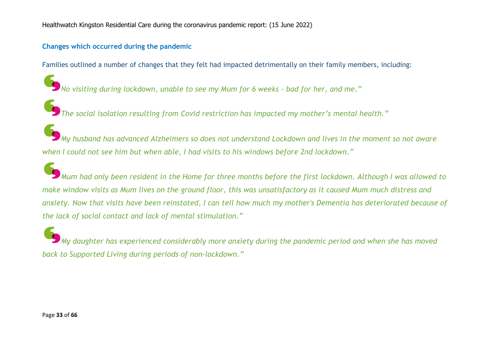#### **Changes which occurred during the pandemic**

Families outlined a number of changes that they felt had impacted detrimentally on their family members, including:

*No visiting during lockdown, unable to see my Mum for 6 weeks - bad for her, and me."*

*The social isolation resulting from Covid restriction has impacted my mother's mental health."*

My husband has advanced Alzheimers so does not understand Lockdown and lives in the moment so not aware *when I could not see him but when able, I had visits to his windows before 2nd lockdown."*

Mum had only been resident in the Home for three months before the first lockdown. Although I was allowed to make window visits as Mum lives on the ground floor, this was unsatisfactory as it caused Mum much distress and anxiety. Now that visits have been reinstated, I can tell how much my mother's Dementia has deteriorated because of *the lack of social contact and lack of mental stimulation."*

*My daughter has experienced considerably more anxiety during the pandemic period and when she has moved back to Supported Living during periods of non-lockdown."*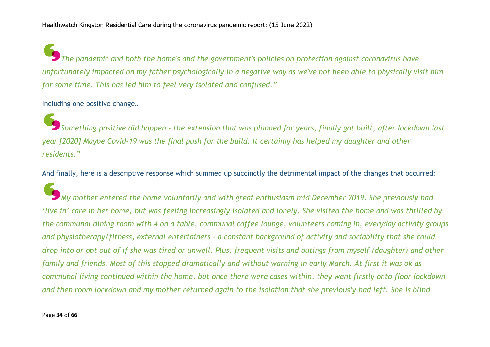*The pandemic and both the home's and the government's policies on protection against coronavirus have* unfortunately impacted on my father psychologically in a negative way as we've not been able to physically visit him *for some time. This has led him to feel very isolated and confused."*

#### Including one positive change…

Something positive did happen - the extension that was planned for years, finally got built, after lockdown last year [2020] Maybe Covid-19 was the final push for the build. It certainly has helped my daughter and other *residents."*

And finally, here is a descriptive response which summed up succinctly the detrimental impact of the changes that occurred:

*My mother entered the home voluntarily and with great enthusiasm mid December 2019. She previously had* 'live in' care in her home, but was feeling increasingly isolated and lonely. She visited the home and was thrilled by the communal dining room with 4 on a table, communal coffee lounge, volunteers coming in, everyday activity groups *and physiotherapy/fitness, external entertainers - a constant background of activity and sociability that she could* drop into or opt out of if she was tired or unwell. Plus, frequent visits and outings from myself (daughter) and other family and friends. Most of this stopped dramatically and without warning in early March. At first it was ok as communal living continued within the home, but once there were cases within, they went firstly onto floor lockdown and then room lockdown and my mother returned again to the isolation that she previously had left. She is blind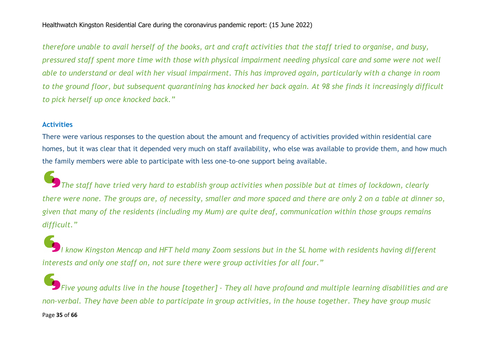therefore unable to avail herself of the books, art and craft activities that the staff tried to organise, and busy, pressured staff spent more time with those with physical impairment needing physical care and some were not well able to understand or deal with her visual impairment. This has improved again, particularly with a change in room to the ground floor, but subsequent quarantining has knocked her back again. At 98 she finds it increasingly difficult *to pick herself up once knocked back."*

#### **Activities**

There were various responses to the question about the amount and frequency of activities provided within residential care homes, but it was clear that it depended very much on staff availability, who else was available to provide them, and how much the family members were able to participate with less one-to-one support being available.

The staff have tried very hard to establish group activities when possible but at times of lockdown, clearly there were none. The groups are, of necessity, smaller and more spaced and there are only 2 on a table at dinner so, given that many of the residents (including my Mum) are quite deaf, communication within those groups remains *difficult."*

I know Kingston Mencap and HFT held many Zoom sessions but in the SL home with residents having different *interests and only one staff on, not sure there were group activities for all four."*

Page **35** of **66** Five young adults live in the house [together] - They all have profound and multiple learning disabilities and are non-verbal. They have been able to participate in group activities, in the house together. They have group music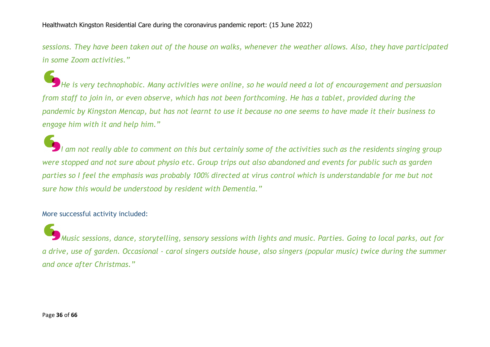sessions. They have been taken out of the house on walks, whenever the weather allows. Also, they have participated *in some Zoom activities."*

He is very technophobic. Many activities were online, so he would need a lot of encouragement and persuasion from staff to join in, or even observe, which has not been forthcoming. He has a tablet, provided during the pandemic by Kingston Mencap, but has not learnt to use it because no one seems to have made it their business to *engage him with it and help him."*

am not really able to comment on this but certainly some of the activities such as the residents singing group were stopped and not sure about physio etc. Group trips out also abandoned and events for public such as garden parties so I feel the emphasis was probably 100% directed at virus control which is understandable for me but not *sure how this would be understood by resident with Dementia."*

#### More successful activity included:

Music sessions, dance, storytelling, sensory sessions with lights and music. Parties. Going to local parks, out for a drive, use of garden. Occasional - carol singers outside house, also singers (popular music) twice during the summer *and once after Christmas."*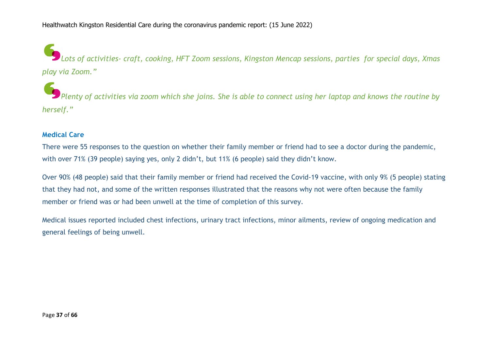*Lots of activities- craft, cooking, HFT Zoom sessions, Kingston Mencap sessions, parties for special days, Xmas play via Zoom."*

Plenty of activities via zoom which she joins. She is able to connect using her laptop and knows the routine by *herself."*

#### **Medical Care**

There were 55 responses to the question on whether their family member or friend had to see a doctor during the pandemic, with over 71% (39 people) saying yes, only 2 didn't, but 11% (6 people) said they didn't know.

Over 90% (48 people) said that their family member or friend had received the Covid-19 vaccine, with only 9% (5 people) stating that they had not, and some of the written responses illustrated that the reasons why not were often because the family member or friend was or had been unwell at the time of completion of this survey.

Medical issues reported included chest infections, urinary tract infections, minor ailments, review of ongoing medication and general feelings of being unwell.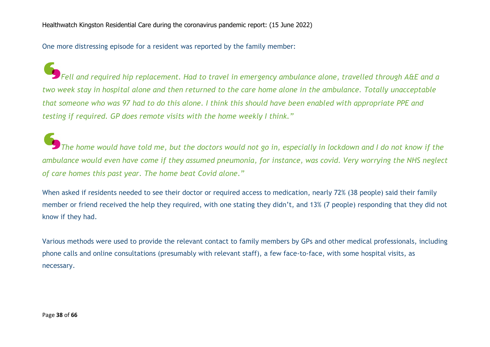One more distressing episode for a resident was reported by the family member:

Fell and required hip replacement. Had to travel in emergency ambulance alone, travelled through A&E and a two week stay in hospital alone and then returned to the care home alone in the ambulance. Totally unacceptable that someone who was 97 had to do this alone. I think this should have been enabled with appropriate PPE and *testing if required. GP does remote visits with the home weekly I think."*

The home would have told me, but the doctors would not go in, especially in lockdown and I do not know if the ambulance would even have come if they assumed pneumonia, for instance, was covid. Very worrying the NHS neglect *of care homes this past year. The home beat Covid alone."*

When asked if residents needed to see their doctor or required access to medication, nearly 72% (38 people) said their family member or friend received the help they required, with one stating they didn't, and 13% (7 people) responding that they did not know if they had.

Various methods were used to provide the relevant contact to family members by GPs and other medical professionals, including phone calls and online consultations (presumably with relevant staff), a few face-to-face, with some hospital visits, as necessary.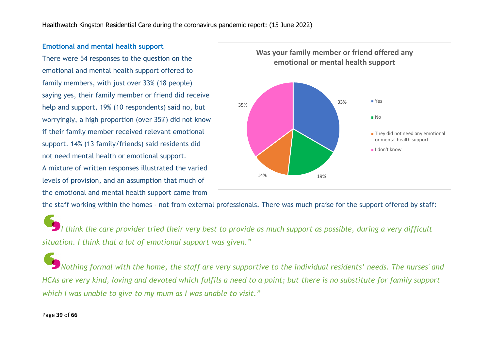#### **Emotional and mental health support**

There were 54 responses to the question on the emotional and mental health support offered to family members, with just over 33% (18 people) saying yes, their family member or friend did receive help and support, 19% (10 respondents) said no, but worryingly, a high proportion (over 35%) did not know if their family member received relevant emotional support. 14% (13 family/friends) said residents did not need mental health or emotional support. A mixture of written responses illustrated the varied

levels of provision, and an assumption that much of the emotional and mental health support came from



the staff working within the homes - not from external professionals. There was much praise for the support offered by staff:

I think the care provider tried their very best to provide as much support as possible, during a very difficult *situation. I think that a lot of emotional support was given."*

Nothing formal with the home, the staff are very supportive to the individual residents' needs. The nurses' and HCAs are very kind, loving and devoted which fulfils a need to a point; but there is no substitute for family support *which I was unable to give to my mum as I was unable to visit."*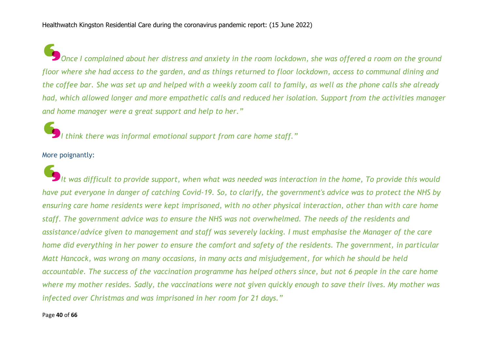Once I complained about her distress and anxiety in the room lockdown, she was offered a room on the ground floor where she had access to the garden, and as things returned to floor lockdown, access to communal dining and the coffee bar. She was set up and helped with a weekly zoom call to family, as well as the phone calls she already had, which allowed longer and more empathetic calls and reduced her isolation. Support from the activities manager *and home manager were a great support and help to her."*

*I think there was informal emotional support from care home staff."*

More poignantly:

It was difficult to provide support, when what was needed was interaction in the home, To provide this would have put evervone in danger of catching Covid-19. So, to clarify, the government's advice was to protect the NHS by ensuring care home residents were kept imprisoned, with no other physical interaction, other than with care home staff. The government advice was to ensure the NHS was not overwhelmed. The needs of the residents and assistance/advice given to management and staff was severely lacking. I must emphasise the Manager of the care home did everything in her power to ensure the comfort and safety of the residents. The government, in particular Matt Hancock, was wrong on many occasions, in many acts and misjudgement, for which he should be held accountable. The success of the vaccination programme has helped others since, but not 6 people in the care home where my mother resides. Sadly, the vaccinations were not given quickly enough to save their lives. My mother was *infected over Christmas and was imprisoned in her room for 21 days."*

#### Page **40** of **66**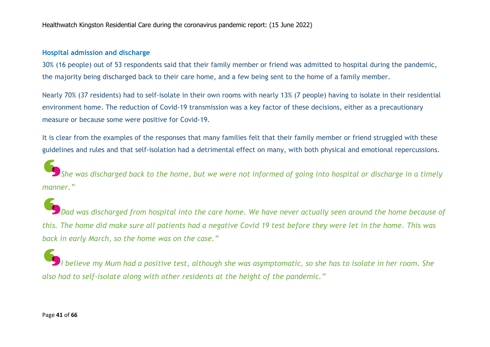#### **Hospital admission and discharge**

30% (16 people) out of 53 respondents said that their family member or friend was admitted to hospital during the pandemic, the majority being discharged back to their care home, and a few being sent to the home of a family member.

Nearly 70% (37 residents) had to self-isolate in their own rooms with nearly 13% (7 people) having to isolate in their residential environment home. The reduction of Covid-19 transmission was a key factor of these decisions, either as a precautionary measure or because some were positive for Covid-19.

It is clear from the examples of the responses that many families felt that their family member or friend struggled with these guidelines and rules and that self-isolation had a detrimental effect on many, with both physical and emotional repercussions.

She was discharged back to the home, but we were not informed of going into hospital or discharge in a timely *manner."*

)<br>Dad was discharged from hospital into the care home. We have never actually seen around the home because of this. The home did make sure all patients had a negative Covid 19 test before they were let in the home. This was *back in early March, so the home was on the case."*

I believe my Mum had a positive test, although she was asymptomatic, so she has to isolate in her room. She *also had to self-isolate along with other residents at the height of the pandemic."*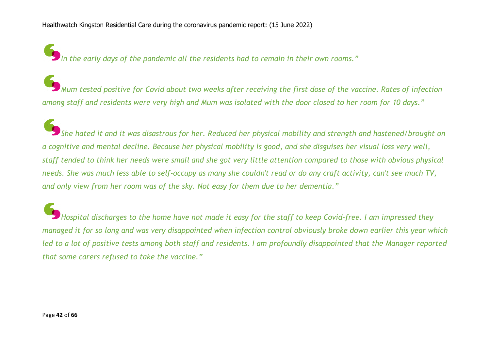*In the early days of the pandemic all the residents had to remain in their own rooms."*

Mum tested positive for Covid about two weeks after receiving the first dose of the vaccine. Rates of infection among staff and residents were very high and Mum was isolated with the door closed to her room for 10 days."

.<br>She hated it and it was disastrous for her. Reduced her physical mobility and strength and hastened/brought on a cognitive and mental decline. Because her physical mobility is good, and she disguises her visual loss very well, staff tended to think her needs were small and she got very little attention compared to those with obvious physical needs. She was much less able to self-occupy as many she couldn't read or do any craft activity, can't see much TV, *and only view from her room was of the sky. Not easy for them due to her dementia."*

Hospital discharges to the home have not made it easy for the staff to keep Covid-free. I am impressed they managed it for so long and was very disappointed when infection control obviously broke down earlier this year which led to a lot of positive tests among both staff and residents. I am profoundly disappointed that the Manager reported *that some carers refused to take the vaccine."*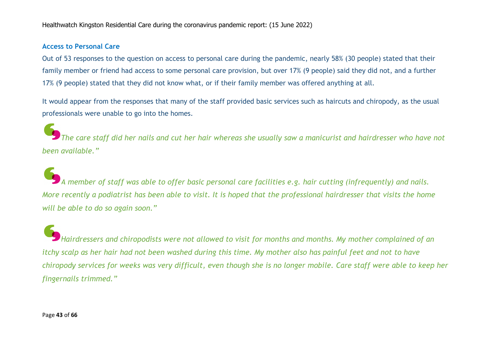#### **Access to Personal Care**

Out of 53 responses to the question on access to personal care during the pandemic, nearly 58% (30 people) stated that their family member or friend had access to some personal care provision, but over 17% (9 people) said they did not, and a further 17% (9 people) stated that they did not know what, or if their family member was offered anything at all.

It would appear from the responses that many of the staff provided basic services such as haircuts and chiropody, as the usual professionals were unable to go into the homes.

The care staff did her nails and cut her hair whereas she usually saw a manicurist and hairdresser who have not *been available."*

A member of staff was able to offer basic personal care facilities e.g. hair cutting (infrequently) and nails. More recently a podiatrist has been able to visit. It is hoped that the professional hairdresser that visits the home *will be able to do so again soon."*

*Hairdressers and chiropodists were not allowed to visit for months and months. My mother complained of an* itchy scalp as her hair had not been washed during this time. My mother also has painful feet and not to have chiropody services for weeks was very difficult, even though she is no longer mobile. Care staff were able to keep her *fingernails trimmed."*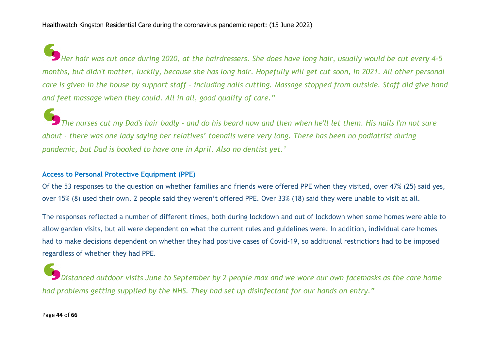Her hair was cut once during 2020, at the hairdressers. She does have long hair, usually would be cut every 4-5 months, but didn't matter, luckily, because she has long hair. Hopefully will get cut soon, in 2021. All other personal care is given in the house by support staff - including nails cutting. Massage stopped from outside. Staff did give hand *and feet massage when they could. All in all, good quality of care."*

The nurses cut my Dad's hair badly - and do his beard now and then when he'll let them. His nails I'm not sure about - there was one lady saving her relatives' toenails were very long. There has been no podiatrist during *pandemic, but Dad is booked to have one in April. Also no dentist yet.'*

#### **Access to Personal Protective Equipment (PPE)**

Of the 53 responses to the question on whether families and friends were offered PPE when they visited, over 47% (25) said yes, over 15% (8) used their own. 2 people said they weren't offered PPE. Over 33% (18) said they were unable to visit at all.

The responses reflected a number of different times, both during lockdown and out of lockdown when some homes were able to allow garden visits, but all were dependent on what the current rules and guidelines were. In addition, individual care homes had to make decisions dependent on whether they had positive cases of Covid-19, so additional restrictions had to be imposed regardless of whether they had PPE.

Distanced outdoor visits June to September by 2 people max and we wore our own facemasks as the care home *had problems getting supplied by the NHS. They had set up disinfectant for our hands on entry."*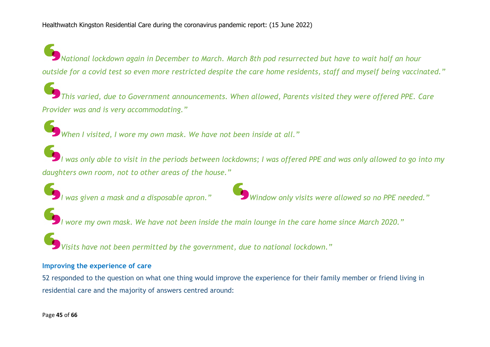National lockdown again in December to March. March 8th pod resurrected but have to wait half an hour outside for a covid test so even more restricted despite the care home residents, staff and myself being vaccinated."

*This varied, due to Government announcements. When allowed, Parents visited they were offered PPE. Care Provider was and is very accommodating."*

*When I visited, I wore my own mask. We have not been inside at all."*

I was only able to visit in the periods between lockdowns; I was offered PPE and was only allowed to go into my *daughters own room, not to other areas of the house."*



*I was given a mask and a disposable apron." Window only visits were allowed so no PPE needed."*

I wore my own mask. We have not been inside the main lounge in the care home since March 2020."

*Visits have not been permitted by the government, due to national lockdown."* 

#### **Improving the experience of care**

52 responded to the question on what one thing would improve the experience for their family member or friend living in residential care and the majority of answers centred around: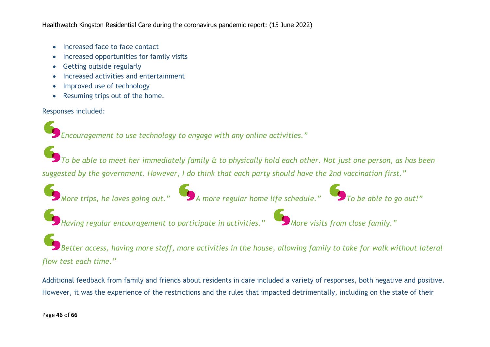- Increased face to face contact
- Increased opportunities for family visits
- Getting outside regularly
- Increased activities and entertainment
- Improved use of technology
- Resuming trips out of the home.

Responses included:

*Encouragement to use technology to engage with any online activities."*

 $\bullet$  To be able to meet her immediately family  $\alpha$  to physically hold each other. Not just one person, as has been *suggested by the government. However, I do think that each party should have the 2nd vaccination first."*

*More trips, he loves going out." A more regular home life schedule." To be able to go out!"*





Better access, having more staff, more activities in the house, allowing family to take for walk without lateral *flow test each time."*

Additional feedback from family and friends about residents in care included a variety of responses, both negative and positive. However, it was the experience of the restrictions and the rules that impacted detrimentally, including on the state of their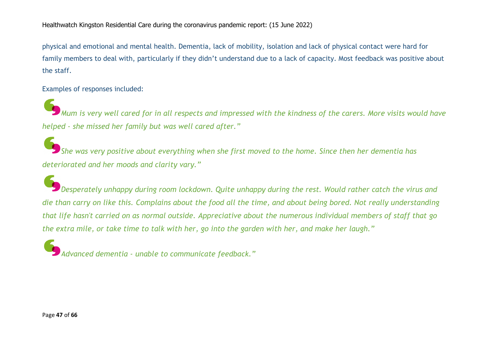physical and emotional and mental health. Dementia, lack of mobility, isolation and lack of physical contact were hard for family members to deal with, particularly if they didn't understand due to a lack of capacity. Most feedback was positive about the staff.

Examples of responses included:

 $\blacklozenge$  Mum is very well cared for in all respects and impressed with the kindness of the carers. More visits would have *helped - she missed her family but was well cared after."*

She was very positive about everything when she first moved to the home. Since then her dementia has *deteriorated and her moods and clarity vary."*

*Desperately unhappy during room lockdown. Quite unhappy during the rest. Would rather catch the virus and* die than carry on like this. Complains about the food all the time, and about being bored. Not really understanding that life hasn't carried on as normal outside. Appreciative about the numerous individual members of staff that go the extra mile, or take time to talk with her, go into the garden with her, and make her laugh."

*Advanced dementia - unable to communicate feedback."*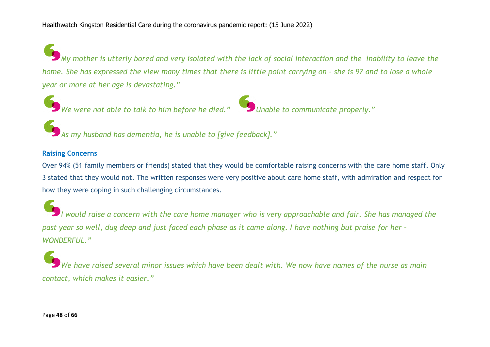$\big)$ My mother is utterly bored and very isolated with the lack of social interaction and the inability to leave the home. She has expressed the view many times that there is little point carrying on - she is 97 and to lose a whole *year or more at her age is devastating."*





*As my husband has dementia, he is unable to [give feedback]."*

#### **Raising Concerns**

Over 94% (51 family members or friends) stated that they would be comfortable raising concerns with the care home staff. Only 3 stated that they would not. The written responses were very positive about care home staff, with admiration and respect for how they were coping in such challenging circumstances.

I would raise a concern with the care home manager who is very approachable and fair. She has managed the past year so well, dug deep and just faced each phase as it came along. I have nothing but praise for her -*WONDERFUL."*

We have raised several minor issues which have been dealt with. We now have names of the nurse as main *contact, which makes it easier."*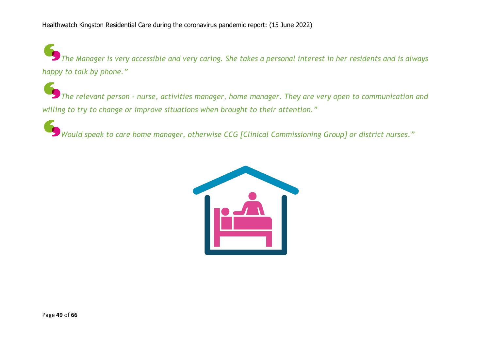The Manager is very accessible and very caring. She takes a personal interest in her residents and is always *happy to talk by phone."*

*The relevant person - nurse, activities manager, home manager. They are very open to communication and willing to try to change or improve situations when brought to their attention."*

*Would speak to care home manager, otherwise CCG [Clinical Commissioning Group] or district nurses."*

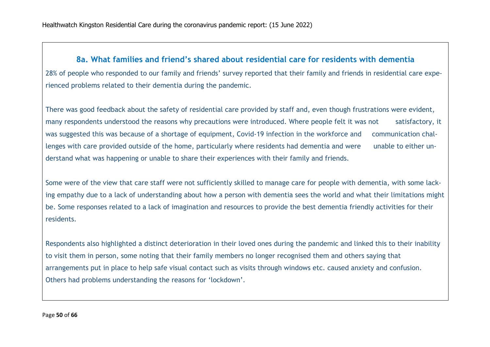rienced problems related to their dementia during the pandemic.

### **8a. What families and friend's shared about residential care for residents with dementia** 28% of people who responded to our family and friends' survey reported that their family and friends in residential care expe-

There was good feedback about the safety of residential care provided by staff and, even though frustrations were evident, many respondents understood the reasons why precautions were introduced. Where people felt it was not satisfactory, it was suggested this was because of a shortage of equipment, Covid-19 infection in the workforce and communication challenges with care provided outside of the home, particularly where residents had dementia and were unable to either understand what was happening or unable to share their experiences with their family and friends.

Some were of the view that care staff were not sufficiently skilled to manage care for people with dementia, with some lacking empathy due to a lack of understanding about how a person with dementia sees the world and what their limitations might be. Some responses related to a lack of imagination and resources to provide the best dementia friendly activities for their residents.

Respondents also highlighted a distinct deterioration in their loved ones during the pandemic and linked this to their inability to visit them in person, some noting that their family members no longer recognised them and others saying that arrangements put in place to help safe visual contact such as visits through windows etc. caused anxiety and confusion. Others had problems understanding the reasons for 'lockdown'.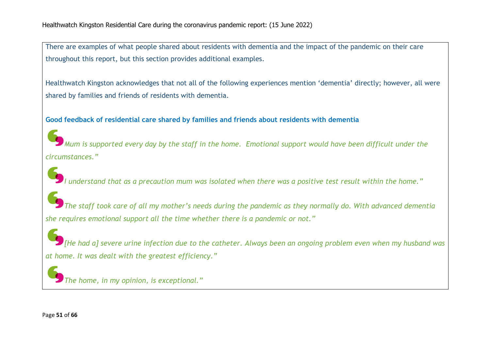There are examples of what people shared about residents with dementia and the impact of the pandemic on their care throughout this report, but this section provides additional examples.

Healthwatch Kingston acknowledges that not all of the following experiences mention 'dementia' directly; however, all were shared by families and friends of residents with dementia.

#### **Good feedback of residential care shared by families and friends about residents with dementia**

Mum is supported every day by the staff in the home. Emotional support would have been difficult under the *circumstances."*

I understand that as a precaution mum was isolated when there was a positive test result within the home."

 $\blacktriangleright$  The staff took care of all my mother's needs during the pandemic as they normally do. With advanced dementia *she requires emotional support all the time whether there is a pandemic or not."*

 $\bullet$  [He had a] severe urine infection due to the catheter. Always been an ongoing problem even when my husband was *at home. It was dealt with the greatest efficiency."*

*The home, in my opinion, is exceptional."*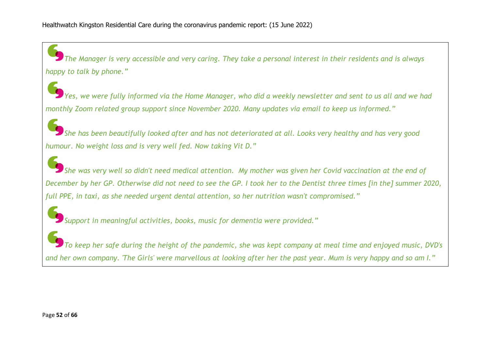The Manager is very accessible and very caring. They take a personal interest in their residents and is always *happy to talk by phone."*

.<br>Yes, we were fully informed via the Home Manager, who did a weekly newsletter and sent to us all and we had *monthly Zoom related group support since November 2020. Many updates via email to keep us informed."*

She has been beautifully looked after and has not deteriorated at all. Looks very healthy and has very good *humour. No weight loss and is very well fed. Now taking Vit D."*

She was very well so didn't need medical attention. My mother was given her Covid vaccination at the end of December by her GP. Otherwise did not need to see the GP. I took her to the Dentist three times [in the] summer 2020, *full PPE, in taxi, as she needed urgent dental attention, so her nutrition wasn't compromised."*

*Support in meaningful activities, books, music for dementia were provided."*

To keep her safe during the height of the pandemic, she was kept company at meal time and enjoyed music, DVD's and her own company. 'The Girls' were marvellous at looking after her the past year. Mum is very happy and so am I."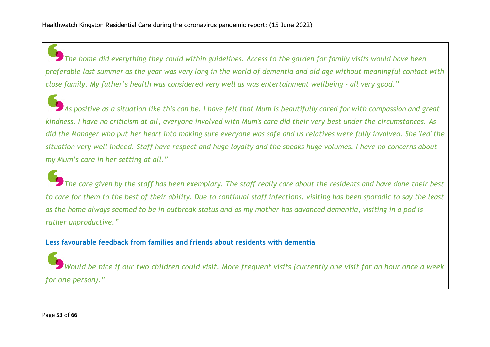The home did everything they could within guidelines. Access to the garden for family visits would have been preferable last summer as the year was very long in the world of dementia and old age without meaningful contact with close family. My father's health was considered very well as was entertainment wellbeing - all very good."

As positive as a situation like this can be. I have felt that Mum is beautifully cared for with compassion and great kindness. I have no criticism at all, everyone involved with Mum's care did their very best under the circumstances. As did the Manager who put her heart into making sure everyone was safe and us relatives were fully involved. She 'led' the situation very well indeed. Staff have respect and huge loyalty and the speaks huge volumes. I have no concerns about *my Mum's care in her setting at all."*

The care given by the staff has been exemplary. The staff really care about the residents and have done their best to care for them to the best of their ability. Due to continual staff infections, visiting has been sporadic to say the least as the home always seemed to be in outbreak status and as my mother has advanced dementia, visiting in a pod is *rather unproductive."*

**Less favourable feedback from families and friends about residents with dementia**

Would be nice if our two children could visit. More frequent visits (currently one visit for an hour once a week *for one person)."*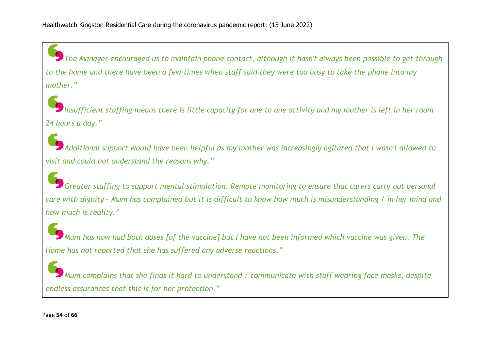The Manager encouraged us to maintain phone contact, although it hasn't always been possible to get through to the home and there have been a few times when staff said they were too busy to take the phone into my *mother."*

Insufficient staffing means there is little capacity for one to one activity and my mother is left in her room *24 hours a day."*

Additional support would have been helpful as my mother was increasingly agitated that I wasn't allowed to *visit and could not understand the reasons why."*

*Greater staffing to support mental stimulation. Remote monitoring to ensure that carers carry out personal* care with dignity - Mum has complained but it is difficult to know how much is misunderstanding / in her mind and *how much is reality."*

Mum has now had both doses [of the vaccine] but I have not been informed which vaccine was given. The *Home has not reported that she has suffered any adverse reactions."*

*Mum complains that she finds it hard to understand / communicate with staff wearing face masks, despite endless assurances that this is for her protection."*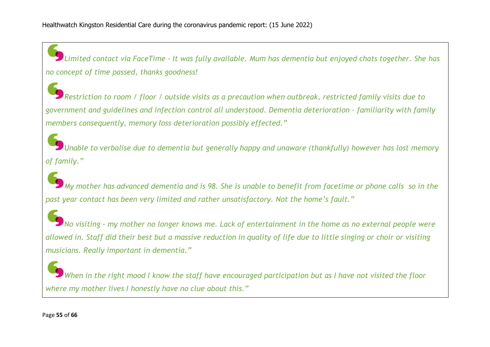Limited contact via FaceTime - It was fully available. Mum has dementia but enjoyed chats together. She has *no concept of time passed, thanks goodness!*

Restriction to room / floor / outside visits as a precaution when outbreak, restricted family visits due to *government and guidelines and infection control all understood. Dementia deterioration - familiarity with family members consequently, memory loss deterioration possibly effected."*

*Unable to verbalise due to dementia but generally happy and unaware (thankfully) however has lost memory of family."*

My mother has advanced dementia and is 98. She is unable to benefit from facetime or phone calls so in the *past year contact has been very limited and rather unsatisfactory. Not the home's fault."*

No visiting - my mother no longer knows me. Lack of entertainment in the home as no external people were allowed in. Staff did their best but a massive reduction in quality of life due to little singing or choir or visiting *musicians. Really important in dementia."*

When in the right mood I know the staff have encouraged participation but as I have not visited the floor *where my mother lives I honestly have no clue about this."*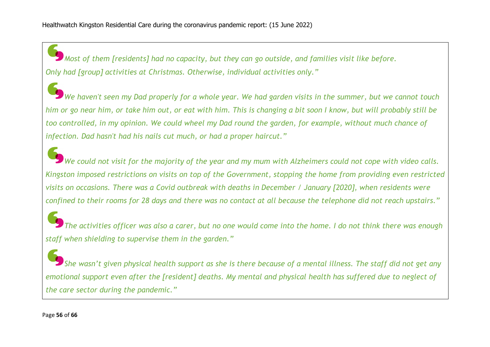*Most of them [residents] had no capacity, but they can go outside, and families visit like before. Only had [group] activities at Christmas. Otherwise, individual activities only."*

We haven't seen my Dad properly for a whole year. We had garden visits in the summer, but we cannot touch him or go near him, or take him out, or eat with him. This is changing a bit soon I know, but will probably still be too controlled, in my opinion. We could wheel my Dad round the garden, for example, without much chance of *infection. Dad hasn't had his nails cut much, or had a proper haircut."*

We could not visit for the majority of the year and my mum with Alzheimers could not cope with video calls. Kingston imposed restrictions on visits on top of the Government, stopping the home from providing even restricted visits on occasions. There was a Covid outbreak with deaths in December / January [2020], when residents were confined to their rooms for 28 days and there was no contact at all because the telephone did not reach upstairs."

The activities officer was also a carer, but no one would come into the home. I do not think there was enough *staff when shielding to supervise them in the garden."*

She wasn't given physical health support as she is there because of a mental illness. The staff did not get any emotional support even after the [resident] deaths. My mental and physical health has suffered due to neglect of *the care sector during the pandemic."*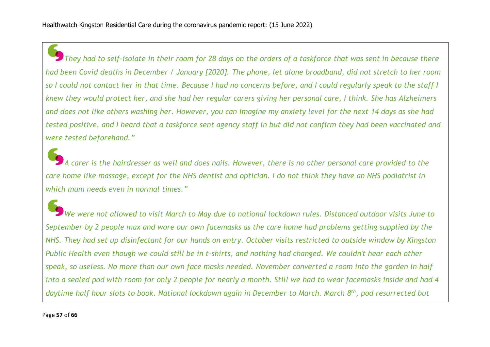They had to self-isolate in their room for 28 days on the orders of a taskforce that was sent in because there had been Covid deaths in December / January [2020]. The phone, let alone broadband, did not stretch to her room so I could not contact her in that time. Because I had no concerns before, and I could regularly speak to the staff I knew they would protect her, and she had her regular carers giving her personal care, I think. She has Alzheimers and does not like others washing her. However, you can imagine my anxiety level for the next 14 days as she had tested positive, and I heard that a taskforce sent agency staff in but did not confirm they had been vaccinated and *were tested beforehand."*

 $\overline{)}$  A carer is the hairdresser as well and does nails. However, there is no other personal care provided to the care home like massage, except for the NHS dentist and optician. I do not think they have an NHS podiatrist in *which mum needs even in normal times."*

We were not allowed to visit March to May due to national lockdown rules. Distanced outdoor visits June to September by 2 people max and wore our own facemasks as the care home had problems getting supplied by the NHS. They had set up disinfectant for our hands on entry. October visits restricted to outside window by Kingston Public Health even though we could still be in t-shirts, and nothing had changed. We couldn't hear each other speak, so useless. No more than our own face masks needed. November converted a room into the garden in half into a sealed pod with room for only 2 people for nearly a month. Still we had to wear facemasks inside and had 4 daytime half hour slots to book. National lockdown again in December to March. March 8<sup>th</sup>, pod resurrected but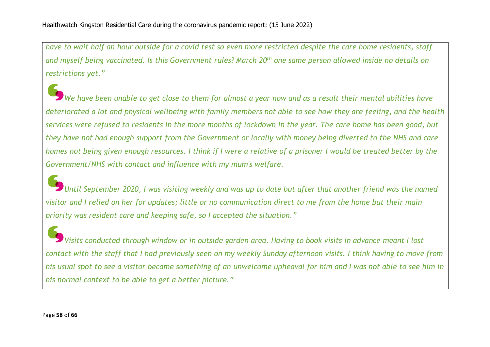have to wait half an hour outside for a covid test so even more restricted despite the care home residents, staff and myself being vaccinated. Is this Government rules? March 20<sup>th</sup> one same person allowed inside no details on *restrictions yet."*

We have been unable to get close to them for almost a vear now and as a result their mental abilities have deteriorated a lot and physical wellbeing with family members not able to see how they are feeling, and the health services were refused to residents in the more months of lockdown in the year. The care home has been good, but they have not had enough support from the Government or locally with money being diverted to the NHS and care homes not being given enough resources. I think if I were a relative of a prisoner I would be treated better by the *Government/NHS with contact and influence with my mum's welfare.*

Until September 2020, I was visiting weekly and was up to date but after that another friend was the named visitor and I relied on her for updates; little or no communication direct to me from the home but their main *priority was resident care and keeping safe, so I accepted the situation."*

Visits conducted through window or in outside garden area. Having to book visits in advance meant I lost contact with the staff that I had previously seen on my weekly Sunday afternoon visits. I think having to move from his usual spot to see a visitor became something of an unwelcome upheaval for him and I was not able to see him in *his normal context to be able to get a better picture."*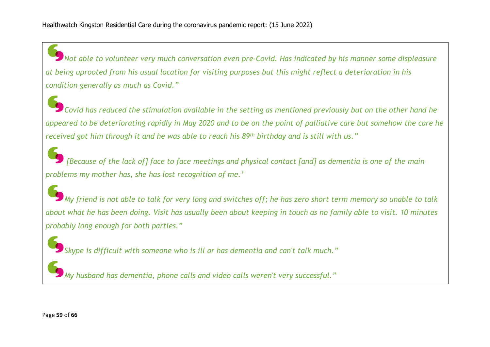*Not able to volunteer very much conversation even pre-Covid. Has indicated by his manner some displeasure* at being uprooted from his usual location for visiting purposes but this might reflect a deterioration in his *condition generally as much as Covid."*

 $\blacktriangleright$  Covid has reduced the stimulation available in the setting as mentioned previously but on the other hand he appeared to be deteriorating rapidly in May 2020 and to be on the point of palliative care but somehow the care he received got him through it and he was able to reach his 89<sup>th</sup> birthday and is still with us."

[Because of the lack of] face to face meetings and physical contact [and] as dementia is one of the main *problems my mother has, she has lost recognition of me.'*

My friend is not able to talk for very long and switches off; he has zero short term memory so unable to talk about what he has been doing. Visit has usually been about keeping in touch as no family able to visit. 10 minutes *probably long enough for both parties."*

*Skype is difficult with someone who is ill or has dementia and can't talk much."*

*My husband has dementia, phone calls and video calls weren't very successful."*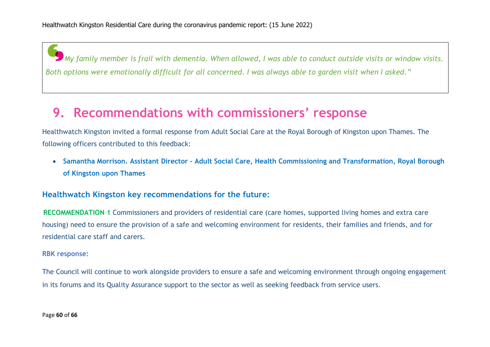My family member is frail with dementia. When allowed, I was able to conduct outside visits or window visits. Both options were emotionally difficult for all concerned. I was always able to garden visit when I asked."

### **9. Recommendations with commissioners' response**

Healthwatch Kingston invited a formal response from Adult Social Care at the Royal Borough of Kingston upon Thames. The following officers contributed to this feedback:

• **Samantha Morrison. Assistant Director - Adult Social Care, Health Commissioning and Transformation, Royal Borough of Kingston upon Thames**

#### **Healthwatch Kingston key recommendations for the future:**

**RECOMMENDATION 1** Commissioners and providers of residential care (care homes, supported living homes and extra care housing) need to ensure the provision of a safe and welcoming environment for residents, their families and friends, and for residential care staff and carers.

#### **RBK response:**

The Council will continue to work alongside providers to ensure a safe and welcoming environment through ongoing engagement in its forums and its Quality Assurance support to the sector as well as seeking feedback from service users.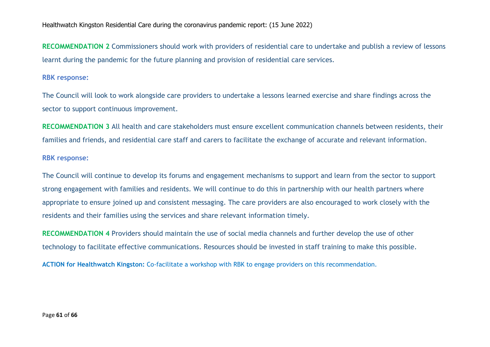**RECOMMENDATION 2** Commissioners should work with providers of residential care to undertake and publish a review of lessons learnt during the pandemic for the future planning and provision of residential care services.

#### **RBK response:**

The Council will look to work alongside care providers to undertake a lessons learned exercise and share findings across the sector to support continuous improvement.

**RECOMMENDATION 3** All health and care stakeholders must ensure excellent communication channels between residents, their families and friends, and residential care staff and carers to facilitate the exchange of accurate and relevant information.

#### **RBK response:**

The Council will continue to develop its forums and engagement mechanisms to support and learn from the sector to support strong engagement with families and residents. We will continue to do this in partnership with our health partners where appropriate to ensure joined up and consistent messaging. The care providers are also encouraged to work closely with the residents and their families using the services and share relevant information timely.

**RECOMMENDATION 4** Providers should maintain the use of social media channels and further develop the use of other technology to facilitate effective communications. Resources should be invested in staff training to make this possible.

**ACTION for Healthwatch Kingston:** Co-facilitate a workshop with RBK to engage providers on this recommendation.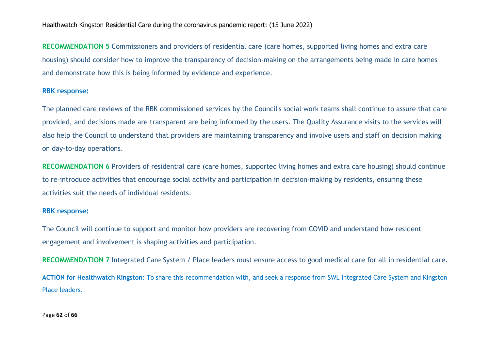**RECOMMENDATION 5** Commissioners and providers of residential care (care homes, supported living homes and extra care housing) should consider how to improve the transparency of decision-making on the arrangements being made in care homes and demonstrate how this is being informed by evidence and experience.

#### **RBK response:**

The planned care reviews of the RBK commissioned services by the Council's social work teams shall continue to assure that care provided, and decisions made are transparent are being informed by the users. The Quality Assurance visits to the services will also help the Council to understand that providers are maintaining transparency and involve users and staff on decision making on day-to-day operations.

**RECOMMENDATION 6** Providers of residential care (care homes, supported living homes and extra care housing) should continue to re-introduce activities that encourage social activity and participation in decision-making by residents, ensuring these activities suit the needs of individual residents.

#### **RBK response:**

The Council will continue to support and monitor how providers are recovering from COVID and understand how resident engagement and involvement is shaping activities and participation.

**RECOMMENDATION 7** Integrated Care System / Place leaders must ensure access to good medical care for all in residential care.

**ACTION for Healthwatch Kingston**: To share this recommendation with, and seek a response from SWL Integrated Care System and Kingston Place leaders.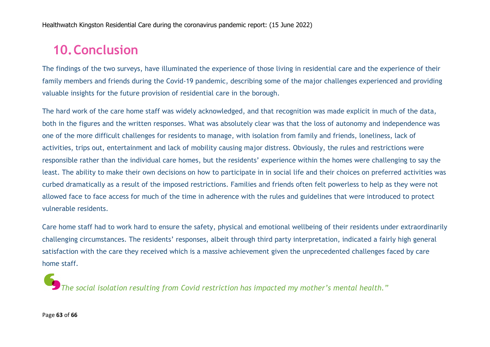### **10.Conclusion**

The findings of the two surveys, have illuminated the experience of those living in residential care and the experience of their family members and friends during the Covid-19 pandemic, describing some of the major challenges experienced and providing valuable insights for the future provision of residential care in the borough.

The hard work of the care home staff was widely acknowledged, and that recognition was made explicit in much of the data, both in the figures and the written responses. What was absolutely clear was that the loss of autonomy and independence was one of the more difficult challenges for residents to manage, with isolation from family and friends, loneliness, lack of activities, trips out, entertainment and lack of mobility causing major distress. Obviously, the rules and restrictions were responsible rather than the individual care homes, but the residents' experience within the homes were challenging to say the least. The ability to make their own decisions on how to participate in in social life and their choices on preferred activities was curbed dramatically as a result of the imposed restrictions. Families and friends often felt powerless to help as they were not allowed face to face access for much of the time in adherence with the rules and guidelines that were introduced to protect vulnerable residents.

Care home staff had to work hard to ensure the safety, physical and emotional wellbeing of their residents under extraordinarily challenging circumstances. The residents' responses, albeit through third party interpretation, indicated a fairly high general satisfaction with the care they received which is a massive achievement given the unprecedented challenges faced by care home staff.

*The social isolation resulting from Covid restriction has impacted my mother's mental health."*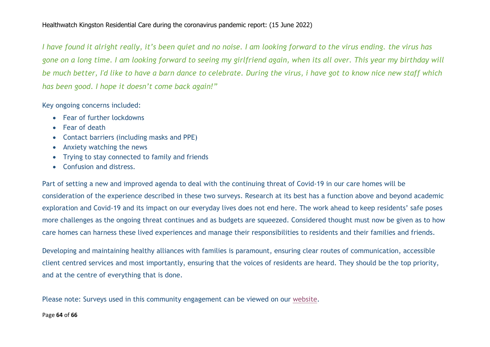I have found it alright really, it's been quiet and no noise. I am looking forward to the virus ending, the virus has gone on a long time. I am looking forward to seeing my girlfriend again, when its all over. This year my birthday will be much better, I'd like to have a barn dance to celebrate. During the virus, i have got to know nice new staff which *has been good. I hope it doesn't come back again!"*

Key ongoing concerns included:

- Fear of further lockdowns
- Fear of death
- Contact barriers (including masks and PPE)
- Anxiety watching the news
- Trying to stay connected to family and friends
- Confusion and distress.

Part of setting a new and improved agenda to deal with the continuing threat of Covid-19 in our care homes will be consideration of the experience described in these two surveys. Research at its best has a function above and beyond academic exploration and Covid-19 and its impact on our everyday lives does not end here. The work ahead to keep residents' safe poses more challenges as the ongoing threat continues and as budgets are squeezed. Considered thought must now be given as to how care homes can harness these lived experiences and manage their responsibilities to residents and their families and friends.

Developing and maintaining healthy alliances with families is paramount, ensuring clear routes of communication, accessible client centred services and most importantly, ensuring that the voices of residents are heard. They should be the top priority, and at the centre of everything that is done.

Please note: Surveys used in this community engagement can be viewed on our website.

#### Page **64** of **66**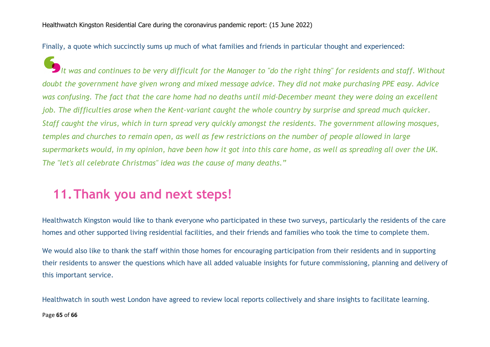Finally, a quote which succinctly sums up much of what families and friends in particular thought and experienced:

It was and continues to be very difficult for the Manager to "do the right thing" for residents and staff. Without doubt the government have given wrong and mixed message advice. They did not make purchasing PPE easy. Advice was confusing. The fact that the care home had no deaths until mid-December meant they were doing an excellent job. The difficulties arose when the Kent-variant caught the whole country by surprise and spread much quicker. Staff caught the virus, which in turn spread very quickly amongst the residents. The government allowing mosques, temples and churches to remain open, as well as few restrictions on the number of people allowed in large supermarkets would, in my opinion, have been how it got into this care home, as well as spreading all over the UK. *The "let's all celebrate Christmas" idea was the cause of many deaths."*

### **11.Thank you and next steps!**

Healthwatch Kingston would like to thank everyone who participated in these two surveys, particularly the residents of the care homes and other supported living residential facilities, and their friends and families who took the time to complete them.

We would also like to thank the staff within those homes for encouraging participation from their residents and in supporting their residents to answer the questions which have all added valuable insights for future commissioning, planning and delivery of this important service.

Page **65** of **66** Healthwatch in south west London have agreed to review local reports collectively and share insights to facilitate learning.